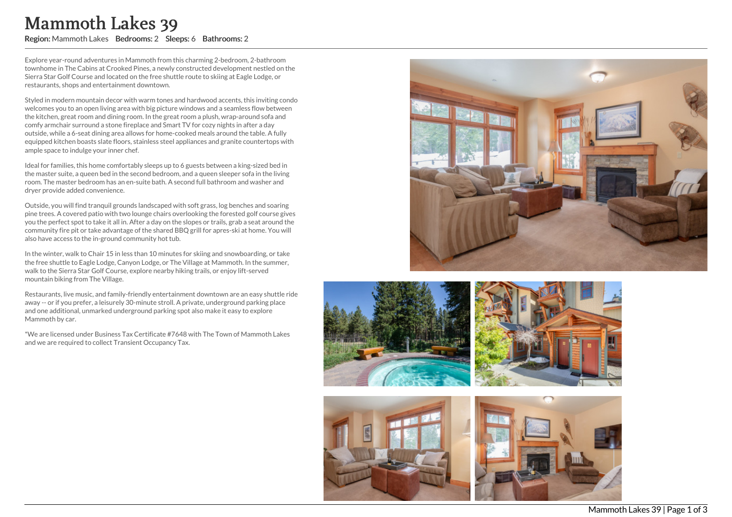## Mammoth Lakes 39

Region: Mammoth Lakes Bedrooms: 2 Sleeps: 6 Bathrooms: 2

Explore year-round adventures in Mammoth from this charming 2-bedroom, 2-bathroom townhome in The Cabins at Crooked Pines, a newly constructed development nestled on the Sierra Star Golf Course and located on the free shuttle route to skiing at Eagle Lodge, or restaurants, shops and entertainment downtown.

Styled in modern mountain decor with warm tones and hardwood accents, this inviting condo welcomes you to an open living area with big picture windows and a seamless flow between the kitchen, great room and dining room. In the great room a plush, wrap-around sofa and comfy armchair surround a stone fireplace and Smart TV for cozy nights in after a day outside, while a 6-seat dining area allows for home-cooked meals around the table. A fully equipped kitchen boasts slate floors, stainless steel appliances and granite countertops with ample space to indulge your inner chef.

Ideal for families, this home comfortably sleeps up to 6 guests between a king-sized bed in the master suite, a queen bed in the second bedroom, and a queen sleeper sofa in the living room. The master bedroom has an en-suite bath. A second full bathroom and washer and dryer provide added convenience.

Outside, you will find tranquil grounds landscaped with soft grass, log benches and soaring pine trees. A covered patio with two lounge chairs overlooking the forested golf course gives you the perfect spot to take it all in. After a day on the slopes or trails, grab a seat around the community fire pit or take advantage of the shared BBQ grill for apres-ski at home. You will also have access to the in-ground community hot tub.

In the winter, walk to Chair 15 in less than 10 minutes for skiing and snowboarding, or take the free shuttle to Eagle Lodge, Canyon Lodge, or The Village at Mammoth. In the summer, walk to the Sierra Star Golf Course, explore nearby hiking trails, or enjoy lift-served mountain biking from The Village.

Restaurants, live music, and family-friendly entertainment downtown are an easy shuttle ride away -- or if you prefer, a leisurely 30-minute stroll. A private, underground parking place and one additional, unmarked underground parking spot also make it easy to explore Mammoth by car.

\*We are licensed under Business Tax Certificate #7648 with The Town of Mammoth Lakes and we are required to collect Transient Occupancy Tax.





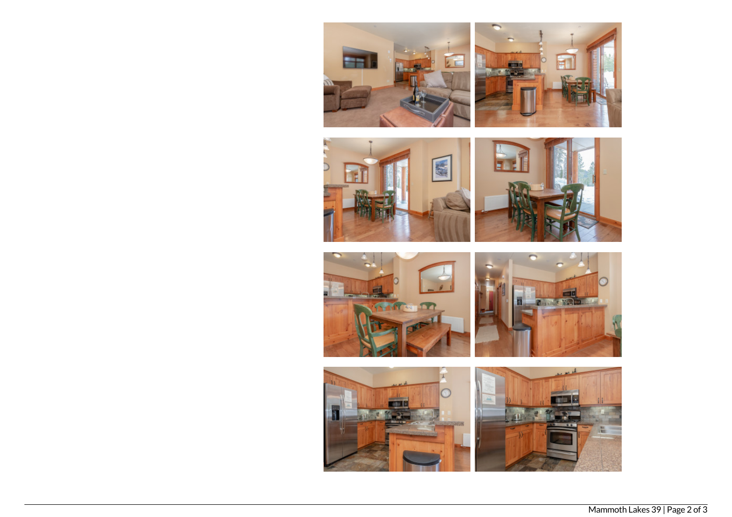